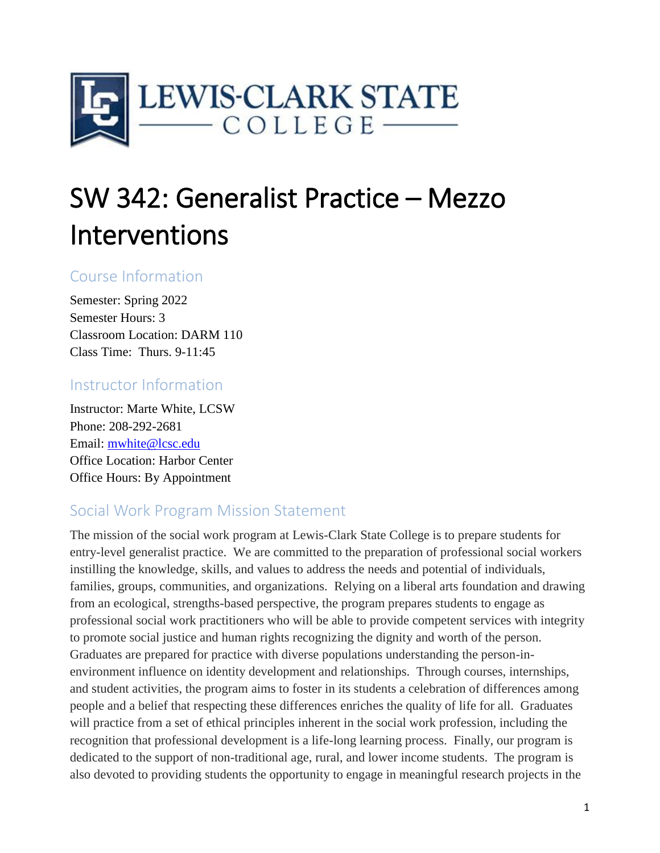

# SW 342: Generalist Practice – Mezzo Interventions

# Course Information

Semester: Spring 2022 Semester Hours: 3 Classroom Location: DARM 110 Class Time: Thurs. 9-11:45

# Instructor Information

Instructor: Marte White, LCSW Phone: 208-292-2681 Email: [mwhite@lcsc.edu](mailto:mwhite@lcsc.edu) Office Location: Harbor Center Office Hours: By Appointment

# Social Work Program Mission Statement

The mission of the social work program at Lewis-Clark State College is to prepare students for entry-level generalist practice. We are committed to the preparation of professional social workers instilling the knowledge, skills, and values to address the needs and potential of individuals, families, groups, communities, and organizations. Relying on a liberal arts foundation and drawing from an ecological, strengths-based perspective, the program prepares students to engage as professional social work practitioners who will be able to provide competent services with integrity to promote social justice and human rights recognizing the dignity and worth of the person. Graduates are prepared for practice with diverse populations understanding the person-inenvironment influence on identity development and relationships. Through courses, internships, and student activities, the program aims to foster in its students a celebration of differences among people and a belief that respecting these differences enriches the quality of life for all. Graduates will practice from a set of ethical principles inherent in the social work profession, including the recognition that professional development is a life-long learning process. Finally, our program is dedicated to the support of non-traditional age, rural, and lower income students. The program is also devoted to providing students the opportunity to engage in meaningful research projects in the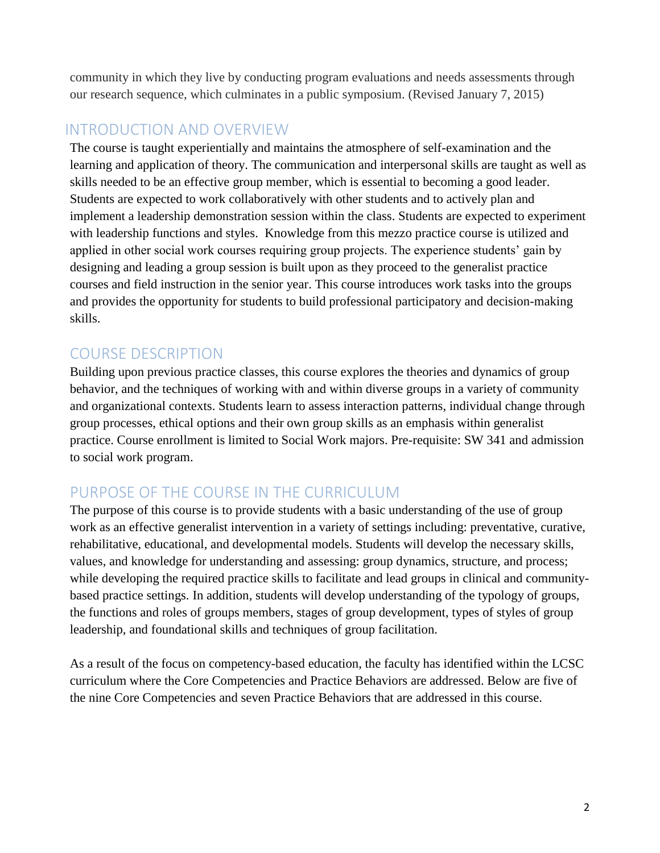community in which they live by conducting program evaluations and needs assessments through our research sequence, which culminates in a public symposium. (Revised January 7, 2015)

# INTRODUCTION AND OVERVIEW

The course is taught experientially and maintains the atmosphere of self-examination and the learning and application of theory. The communication and interpersonal skills are taught as well as skills needed to be an effective group member, which is essential to becoming a good leader. Students are expected to work collaboratively with other students and to actively plan and implement a leadership demonstration session within the class. Students are expected to experiment with leadership functions and styles. Knowledge from this mezzo practice course is utilized and applied in other social work courses requiring group projects. The experience students' gain by designing and leading a group session is built upon as they proceed to the generalist practice courses and field instruction in the senior year. This course introduces work tasks into the groups and provides the opportunity for students to build professional participatory and decision-making skills.

# COURSE DESCRIPTION

Building upon previous practice classes, this course explores the theories and dynamics of group behavior, and the techniques of working with and within diverse groups in a variety of community and organizational contexts. Students learn to assess interaction patterns, individual change through group processes, ethical options and their own group skills as an emphasis within generalist practice. Course enrollment is limited to Social Work majors. Pre-requisite: SW 341 and admission to social work program.

# PURPOSE OF THE COURSE IN THE CURRICULUM

The purpose of this course is to provide students with a basic understanding of the use of group work as an effective generalist intervention in a variety of settings including: preventative, curative, rehabilitative, educational, and developmental models. Students will develop the necessary skills, values, and knowledge for understanding and assessing: group dynamics, structure, and process; while developing the required practice skills to facilitate and lead groups in clinical and communitybased practice settings. In addition, students will develop understanding of the typology of groups, the functions and roles of groups members, stages of group development, types of styles of group leadership, and foundational skills and techniques of group facilitation.

As a result of the focus on competency-based education, the faculty has identified within the LCSC curriculum where the Core Competencies and Practice Behaviors are addressed. Below are five of the nine Core Competencies and seven Practice Behaviors that are addressed in this course.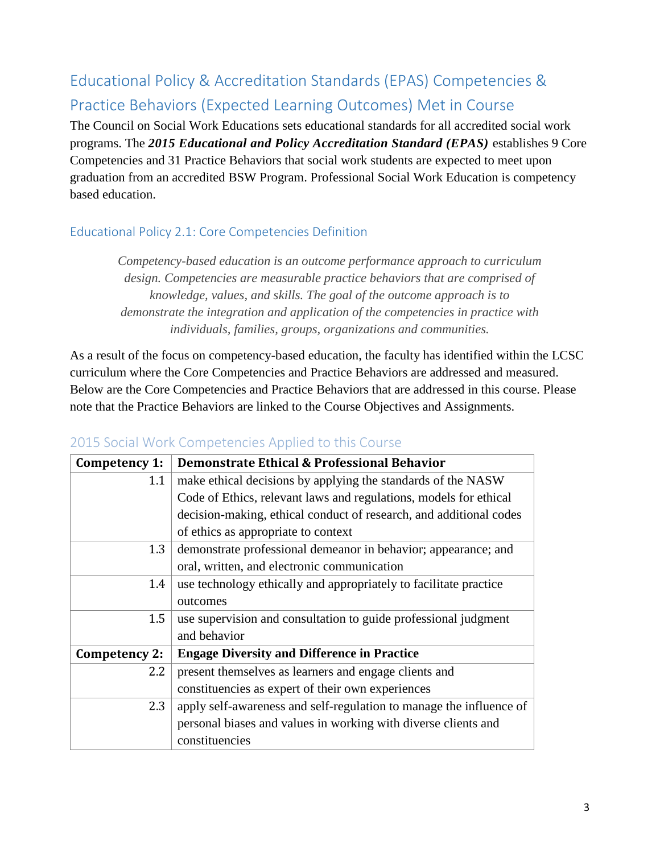# Educational Policy & Accreditation Standards (EPAS) Competencies & Practice Behaviors (Expected Learning Outcomes) Met in Course

The Council on Social Work Educations sets educational standards for all accredited social work programs. The *2015 Educational and Policy Accreditation Standard (EPAS)* establishes 9 Core Competencies and 31 Practice Behaviors that social work students are expected to meet upon graduation from an accredited BSW Program. Professional Social Work Education is competency based education.

# Educational Policy 2.1: Core Competencies Definition

*Competency-based education is an outcome performance approach to curriculum design. Competencies are measurable practice behaviors that are comprised of knowledge, values, and skills. The goal of the outcome approach is to demonstrate the integration and application of the competencies in practice with individuals, families, groups, organizations and communities.*

As a result of the focus on competency-based education, the faculty has identified within the LCSC curriculum where the Core Competencies and Practice Behaviors are addressed and measured. Below are the Core Competencies and Practice Behaviors that are addressed in this course. Please note that the Practice Behaviors are linked to the Course Objectives and Assignments.

| Competency 1:    | Demonstrate Ethical & Professional Behavior                         |  |
|------------------|---------------------------------------------------------------------|--|
| 1.1              | make ethical decisions by applying the standards of the NASW        |  |
|                  | Code of Ethics, relevant laws and regulations, models for ethical   |  |
|                  | decision-making, ethical conduct of research, and additional codes  |  |
|                  | of ethics as appropriate to context                                 |  |
| 1.3              | demonstrate professional demeanor in behavior; appearance; and      |  |
|                  | oral, written, and electronic communication                         |  |
| 1.4              | use technology ethically and appropriately to facilitate practice   |  |
|                  | outcomes                                                            |  |
| 1.5              | use supervision and consultation to guide professional judgment     |  |
|                  | and behavior                                                        |  |
| Competency 2:    | <b>Engage Diversity and Difference in Practice</b>                  |  |
| $2.2\phantom{0}$ | present themselves as learners and engage clients and               |  |
|                  | constituencies as expert of their own experiences                   |  |
| 2.3              | apply self-awareness and self-regulation to manage the influence of |  |
|                  | personal biases and values in working with diverse clients and      |  |
|                  | constituencies                                                      |  |

# 2015 Social Work Competencies Applied to this Course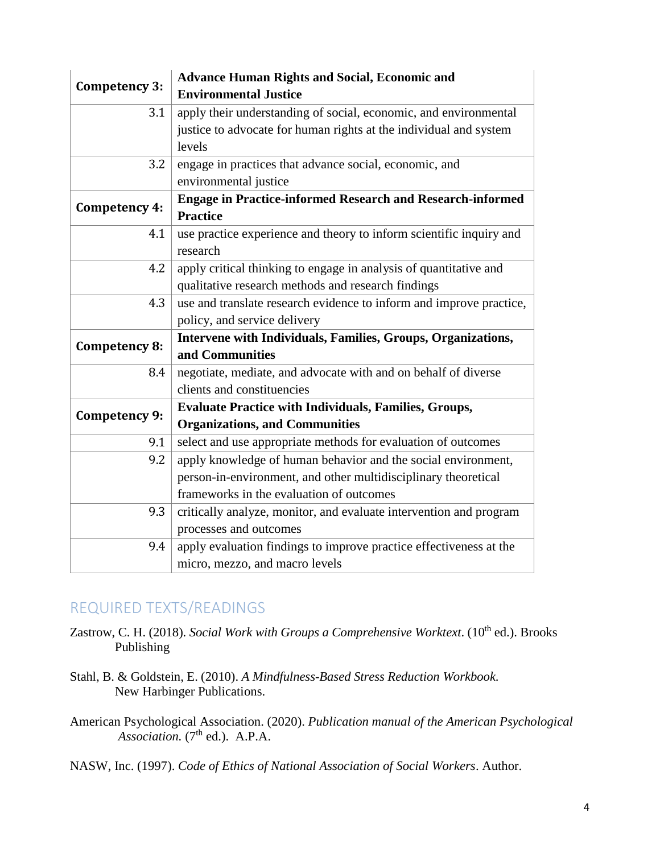| <b>Competency 3:</b> | <b>Advance Human Rights and Social, Economic and</b><br><b>Environmental Justice</b>                                    |  |  |
|----------------------|-------------------------------------------------------------------------------------------------------------------------|--|--|
| 3.1                  | apply their understanding of social, economic, and environmental                                                        |  |  |
|                      | justice to advocate for human rights at the individual and system                                                       |  |  |
|                      | levels                                                                                                                  |  |  |
| 3.2                  | engage in practices that advance social, economic, and                                                                  |  |  |
|                      | environmental justice                                                                                                   |  |  |
| Competency 4:        | <b>Engage in Practice-informed Research and Research-informed</b><br><b>Practice</b>                                    |  |  |
| 4.1                  | use practice experience and theory to inform scientific inquiry and<br>research                                         |  |  |
| 4.2                  | apply critical thinking to engage in analysis of quantitative and<br>qualitative research methods and research findings |  |  |
| 4.3                  | use and translate research evidence to inform and improve practice,                                                     |  |  |
|                      | policy, and service delivery                                                                                            |  |  |
|                      | Intervene with Individuals, Families, Groups, Organizations,                                                            |  |  |
| Competency 8:        | and Communities                                                                                                         |  |  |
| 8.4                  | negotiate, mediate, and advocate with and on behalf of diverse                                                          |  |  |
|                      | clients and constituencies                                                                                              |  |  |
|                      | <b>Evaluate Practice with Individuals, Families, Groups,</b>                                                            |  |  |
| <b>Competency 9:</b> | <b>Organizations, and Communities</b>                                                                                   |  |  |
| 9.1                  | select and use appropriate methods for evaluation of outcomes                                                           |  |  |
| 9.2                  | apply knowledge of human behavior and the social environment,                                                           |  |  |
|                      | person-in-environment, and other multidisciplinary theoretical                                                          |  |  |
|                      | frameworks in the evaluation of outcomes                                                                                |  |  |
| 9.3                  | critically analyze, monitor, and evaluate intervention and program                                                      |  |  |
|                      | processes and outcomes                                                                                                  |  |  |
| 9.4                  | apply evaluation findings to improve practice effectiveness at the                                                      |  |  |
|                      | micro, mezzo, and macro levels                                                                                          |  |  |

# REQUIRED TEXTS/READINGS

- Zastrow, C. H. (2018). *Social Work with Groups a Comprehensive Worktext*. (10<sup>th</sup> ed.). Brooks Publishing
- Stahl, B. & Goldstein, E. (2010). *A Mindfulness-Based Stress Reduction Workbook*. New Harbinger Publications.
- American Psychological Association. (2020). *Publication manual of the American Psychological*  Association. (7<sup>th</sup> ed.). A.P.A.
- NASW, Inc. (1997). *Code of Ethics of National Association of Social Workers*. Author.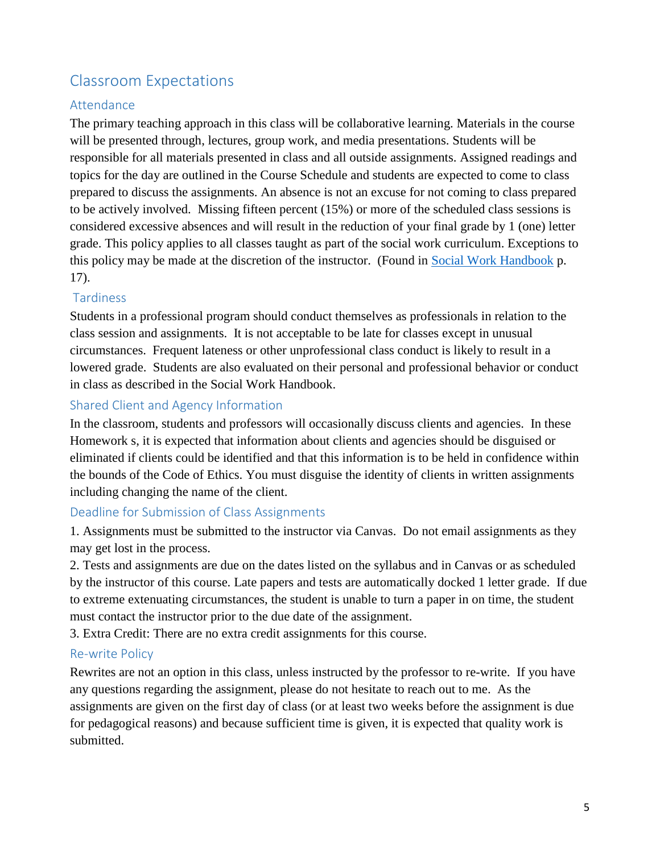# Classroom Expectations

# Attendance

The primary teaching approach in this class will be collaborative learning. Materials in the course will be presented through, lectures, group work, and media presentations. Students will be responsible for all materials presented in class and all outside assignments. Assigned readings and topics for the day are outlined in the Course Schedule and students are expected to come to class prepared to discuss the assignments. An absence is not an excuse for not coming to class prepared to be actively involved. Missing fifteen percent (15%) or more of the scheduled class sessions is considered excessive absences and will result in the reduction of your final grade by 1 (one) letter grade. This policy applies to all classes taught as part of the social work curriculum. Exceptions to this policy may be made at the discretion of the instructor. (Found in [Social Work Handbook](http://www.lcsc.edu/media/5056910/SOCIAL-WORK-STUDENT-HANDBOOK-6-5-2017.pdf) p. 17).

# **Tardiness**

Students in a professional program should conduct themselves as professionals in relation to the class session and assignments. It is not acceptable to be late for classes except in unusual circumstances. Frequent lateness or other unprofessional class conduct is likely to result in a lowered grade. Students are also evaluated on their personal and professional behavior or conduct in class as described in the Social Work Handbook.

# Shared Client and Agency Information

In the classroom, students and professors will occasionally discuss clients and agencies. In these Homework s, it is expected that information about clients and agencies should be disguised or eliminated if clients could be identified and that this information is to be held in confidence within the bounds of the Code of Ethics. You must disguise the identity of clients in written assignments including changing the name of the client.

### Deadline for Submission of Class Assignments

1. Assignments must be submitted to the instructor via Canvas. Do not email assignments as they may get lost in the process.

2. Tests and assignments are due on the dates listed on the syllabus and in Canvas or as scheduled by the instructor of this course. Late papers and tests are automatically docked 1 letter grade. If due to extreme extenuating circumstances, the student is unable to turn a paper in on time, the student must contact the instructor prior to the due date of the assignment.

3. Extra Credit: There are no extra credit assignments for this course.

### Re-write Policy

Rewrites are not an option in this class, unless instructed by the professor to re-write. If you have any questions regarding the assignment, please do not hesitate to reach out to me. As the assignments are given on the first day of class (or at least two weeks before the assignment is due for pedagogical reasons) and because sufficient time is given, it is expected that quality work is submitted.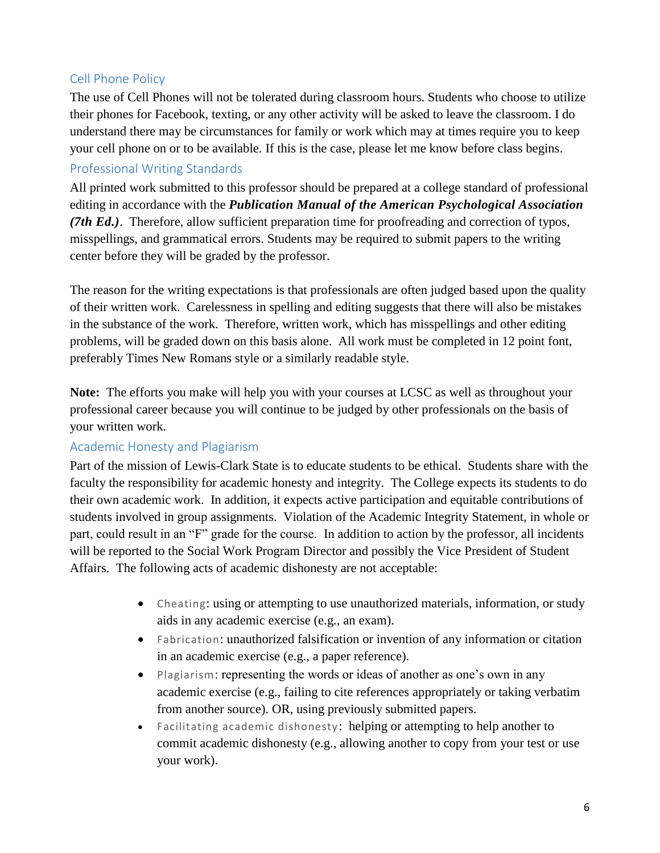### Cell Phone Policy

The use of Cell Phones will not be tolerated during classroom hours. Students who choose to utilize their phones for Facebook, texting, or any other activity will be asked to leave the classroom. I do understand there may be circumstances for family or work which may at times require you to keep your cell phone on or to be available. If this is the case, please let me know before class begins.

### Professional Writing Standards

All printed work submitted to this professor should be prepared at a college standard of professional editing in accordance with the *Publication Manual of the American Psychological Association (7th Ed.)*. Therefore, allow sufficient preparation time for proofreading and correction of typos, misspellings, and grammatical errors. Students may be required to submit papers to the writing center before they will be graded by the professor.

The reason for the writing expectations is that professionals are often judged based upon the quality of their written work. Carelessness in spelling and editing suggests that there will also be mistakes in the substance of the work. Therefore, written work, which has misspellings and other editing problems, will be graded down on this basis alone. All work must be completed in 12 point font, preferably Times New Romans style or a similarly readable style.

**Note:** The efforts you make will help you with your courses at LCSC as well as throughout your professional career because you will continue to be judged by other professionals on the basis of your written work.

#### Academic Honesty and Plagiarism

Part of the mission of Lewis-Clark State is to educate students to be ethical. Students share with the faculty the responsibility for academic honesty and integrity. The College expects its students to do their own academic work. In addition, it expects active participation and equitable contributions of students involved in group assignments. Violation of the Academic Integrity Statement, in whole or part, could result in an "F" grade for the course. In addition to action by the professor, all incidents will be reported to the Social Work Program Director and possibly the Vice President of Student Affairs. The following acts of academic dishonesty are not acceptable:

- Cheating: using or attempting to use unauthorized materials, information, or study aids in any academic exercise (e.g., an exam).
- Fabrication: unauthorized falsification or invention of any information or citation in an academic exercise (e.g., a paper reference).
- Plagiarism: representing the words or ideas of another as one's own in any academic exercise (e.g., failing to cite references appropriately or taking verbatim from another source). OR, using previously submitted papers.
- Facilitating academic dishonesty: helping or attempting to help another to commit academic dishonesty (e.g., allowing another to copy from your test or use your work).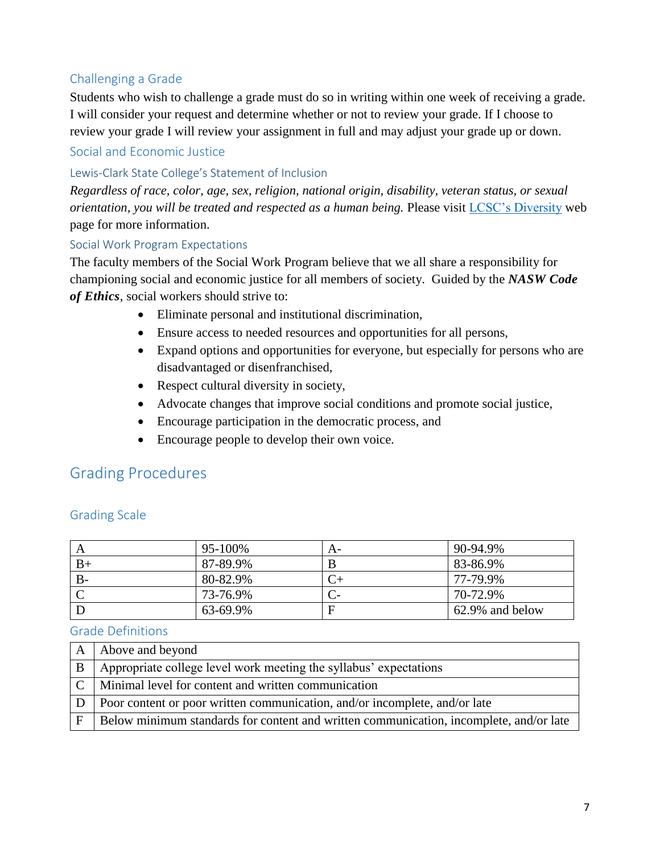# Challenging a Grade

Students who wish to challenge a grade must do so in writing within one week of receiving a grade. I will consider your request and determine whether or not to review your grade. If I choose to review your grade I will review your assignment in full and may adjust your grade up or down.

#### Social and Economic Justice

#### Lewis-Clark State College's Statement of Inclusion

*Regardless of race, color, age, sex, religion, national origin, disability, veteran status, or sexual orientation, you will be treated and respected as a human being.* Please visit [LCSC's Diversity](http://www.lcsc.edu/diversity/) web page for more information.

#### Social Work Program Expectations

The faculty members of the Social Work Program believe that we all share a responsibility for championing social and economic justice for all members of society. Guided by the *NASW Code of Ethics*, social workers should strive to:

- Eliminate personal and institutional discrimination,
- Ensure access to needed resources and opportunities for all persons,
- Expand options and opportunities for everyone, but especially for persons who are disadvantaged or disenfranchised,
- Respect cultural diversity in society,
- Advocate changes that improve social conditions and promote social justice,
- Encourage participation in the democratic process, and
- Encourage people to develop their own voice.

# Grading Procedures

### Grading Scale

|      | 95-100%  | A- | 90-94.9%        |
|------|----------|----|-----------------|
| $B+$ | 87-89.9% | B  | 83-86.9%        |
| $B-$ | 80-82.9% |    | 77-79.9%        |
|      | 73-76.9% | ◡  | 70-72.9%        |
|      | 63-69.9% | E  | 62.9% and below |

#### Grade Definitions

|                | A Above and beyond                                                                     |
|----------------|----------------------------------------------------------------------------------------|
| B              | Appropriate college level work meeting the syllabus' expectations                      |
|                | $\vert$ C $\vert$ Minimal level for content and written communication                  |
| $\overline{D}$ | Poor content or poor written communication, and/or incomplete, and/or late             |
| $\mathbf{F}$   | Below minimum standards for content and written communication, incomplete, and/or late |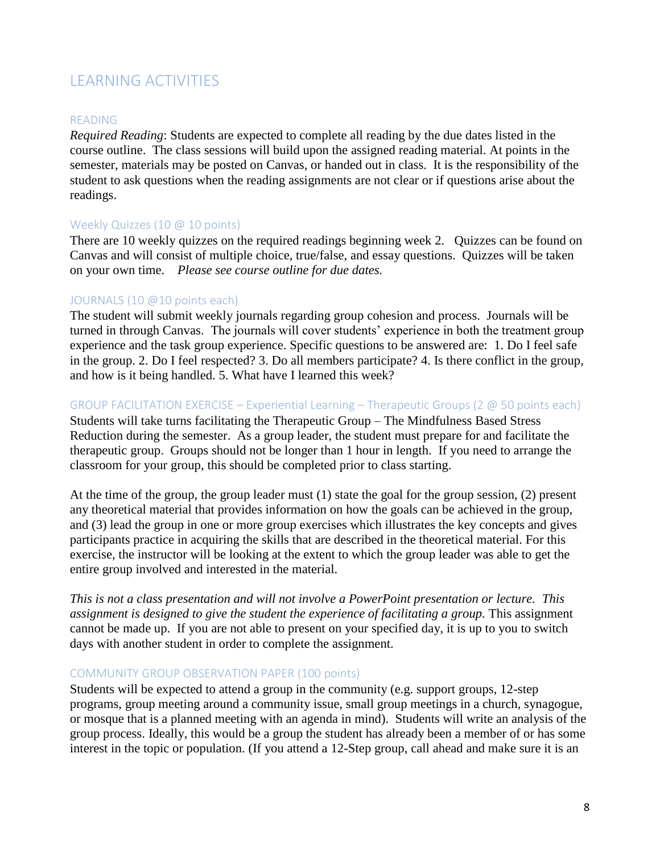# LEARNING ACTIVITIES

#### READING

*Required Reading*: Students are expected to complete all reading by the due dates listed in the course outline. The class sessions will build upon the assigned reading material. At points in the semester, materials may be posted on Canvas, or handed out in class. It is the responsibility of the student to ask questions when the reading assignments are not clear or if questions arise about the readings.

#### Weekly Quizzes (10 @ 10 points)

There are 10 weekly quizzes on the required readings beginning week 2. Quizzes can be found on Canvas and will consist of multiple choice, true/false, and essay questions. Quizzes will be taken on your own time. *Please see course outline for due dates.*

#### JOURNALS (10 @10 points each)

The student will submit weekly journals regarding group cohesion and process. Journals will be turned in through Canvas. The journals will cover students' experience in both the treatment group experience and the task group experience. Specific questions to be answered are: 1. Do I feel safe in the group. 2. Do I feel respected? 3. Do all members participate? 4. Is there conflict in the group, and how is it being handled. 5. What have I learned this week?

#### GROUP FACILITATION EXERCISE – Experiential Learning – Therapeutic Groups (2 @ 50 points each)

Students will take turns facilitating the Therapeutic Group – The Mindfulness Based Stress Reduction during the semester. As a group leader, the student must prepare for and facilitate the therapeutic group. Groups should not be longer than 1 hour in length. If you need to arrange the classroom for your group, this should be completed prior to class starting.

At the time of the group, the group leader must (1) state the goal for the group session, (2) present any theoretical material that provides information on how the goals can be achieved in the group, and (3) lead the group in one or more group exercises which illustrates the key concepts and gives participants practice in acquiring the skills that are described in the theoretical material. For this exercise, the instructor will be looking at the extent to which the group leader was able to get the entire group involved and interested in the material.

*This is not a class presentation and will not involve a PowerPoint presentation or lecture. This*  assignment is designed to give the student the experience of facilitating a group. This assignment cannot be made up. If you are not able to present on your specified day, it is up to you to switch days with another student in order to complete the assignment.

#### COMMUNITY GROUP OBSERVATION PAPER (100 points)

Students will be expected to attend a group in the community (e.g. support groups, 12-step programs, group meeting around a community issue, small group meetings in a church, synagogue, or mosque that is a planned meeting with an agenda in mind). Students will write an analysis of the group process. Ideally, this would be a group the student has already been a member of or has some interest in the topic or population. (If you attend a 12-Step group, call ahead and make sure it is an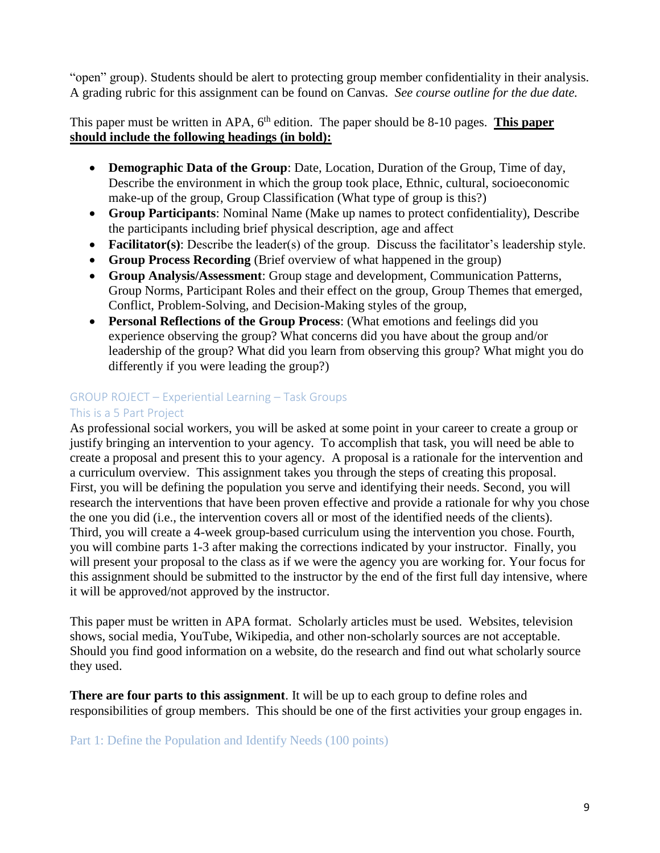"open" group). Students should be alert to protecting group member confidentiality in their analysis. A grading rubric for this assignment can be found on Canvas. *See course outline for the due date.*

### This paper must be written in APA, 6<sup>th</sup> edition. The paper should be 8-10 pages. **This paper should include the following headings (in bold):**

- **Demographic Data of the Group**: Date, Location, Duration of the Group, Time of day, Describe the environment in which the group took place, Ethnic, cultural, socioeconomic make-up of the group, Group Classification (What type of group is this?)
- **Group Participants**: Nominal Name (Make up names to protect confidentiality), Describe the participants including brief physical description, age and affect
- **Facilitator(s):** Describe the leader(s) of the group. Discuss the facilitator's leadership style.
- **Group Process Recording** (Brief overview of what happened in the group)
- **Group Analysis/Assessment**: Group stage and development, Communication Patterns, Group Norms, Participant Roles and their effect on the group, Group Themes that emerged, Conflict, Problem-Solving, and Decision-Making styles of the group,
- **Personal Reflections of the Group Process**: (What emotions and feelings did you experience observing the group? What concerns did you have about the group and/or leadership of the group? What did you learn from observing this group? What might you do differently if you were leading the group?)

#### GROUP ROJECT – Experiential Learning – Task Groups This is a 5 Part Project

As professional social workers, you will be asked at some point in your career to create a group or justify bringing an intervention to your agency. To accomplish that task, you will need be able to create a proposal and present this to your agency. A proposal is a rationale for the intervention and a curriculum overview. This assignment takes you through the steps of creating this proposal. First, you will be defining the population you serve and identifying their needs. Second, you will research the interventions that have been proven effective and provide a rationale for why you chose the one you did (i.e., the intervention covers all or most of the identified needs of the clients). Third, you will create a 4-week group-based curriculum using the intervention you chose. Fourth, you will combine parts 1-3 after making the corrections indicated by your instructor. Finally, you will present your proposal to the class as if we were the agency you are working for. Your focus for this assignment should be submitted to the instructor by the end of the first full day intensive, where it will be approved/not approved by the instructor.

This paper must be written in APA format. Scholarly articles must be used. Websites, television shows, social media, YouTube, Wikipedia, and other non-scholarly sources are not acceptable. Should you find good information on a website, do the research and find out what scholarly source they used.

**There are four parts to this assignment**. It will be up to each group to define roles and responsibilities of group members. This should be one of the first activities your group engages in.

Part 1: Define the Population and Identify Needs (100 points)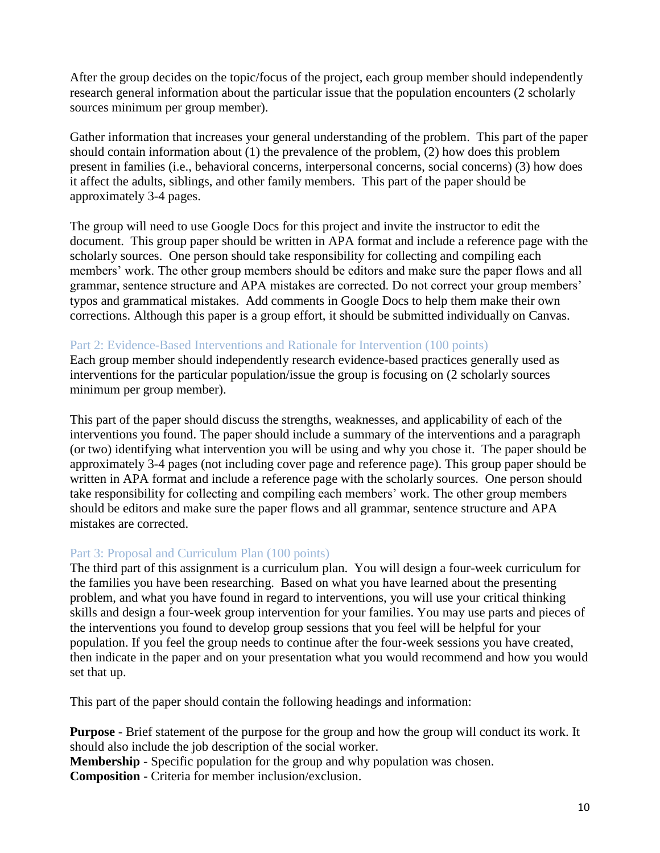After the group decides on the topic/focus of the project, each group member should independently research general information about the particular issue that the population encounters (2 scholarly sources minimum per group member).

Gather information that increases your general understanding of the problem. This part of the paper should contain information about (1) the prevalence of the problem, (2) how does this problem present in families (i.e., behavioral concerns, interpersonal concerns, social concerns) (3) how does it affect the adults, siblings, and other family members. This part of the paper should be approximately 3-4 pages.

The group will need to use Google Docs for this project and invite the instructor to edit the document. This group paper should be written in APA format and include a reference page with the scholarly sources. One person should take responsibility for collecting and compiling each members' work. The other group members should be editors and make sure the paper flows and all grammar, sentence structure and APA mistakes are corrected. Do not correct your group members' typos and grammatical mistakes. Add comments in Google Docs to help them make their own corrections. Although this paper is a group effort, it should be submitted individually on Canvas.

#### Part 2: Evidence-Based Interventions and Rationale for Intervention (100 points)

Each group member should independently research evidence-based practices generally used as interventions for the particular population/issue the group is focusing on (2 scholarly sources minimum per group member).

This part of the paper should discuss the strengths, weaknesses, and applicability of each of the interventions you found. The paper should include a summary of the interventions and a paragraph (or two) identifying what intervention you will be using and why you chose it. The paper should be approximately 3-4 pages (not including cover page and reference page). This group paper should be written in APA format and include a reference page with the scholarly sources. One person should take responsibility for collecting and compiling each members' work. The other group members should be editors and make sure the paper flows and all grammar, sentence structure and APA mistakes are corrected.

#### Part 3: Proposal and Curriculum Plan (100 points)

The third part of this assignment is a curriculum plan. You will design a four-week curriculum for the families you have been researching. Based on what you have learned about the presenting problem, and what you have found in regard to interventions, you will use your critical thinking skills and design a four-week group intervention for your families. You may use parts and pieces of the interventions you found to develop group sessions that you feel will be helpful for your population. If you feel the group needs to continue after the four-week sessions you have created, then indicate in the paper and on your presentation what you would recommend and how you would set that up.

This part of the paper should contain the following headings and information:

**Purpose** - Brief statement of the purpose for the group and how the group will conduct its work. It should also include the job description of the social worker.

**Membership** - Specific population for the group and why population was chosen. **Composition -** Criteria for member inclusion/exclusion.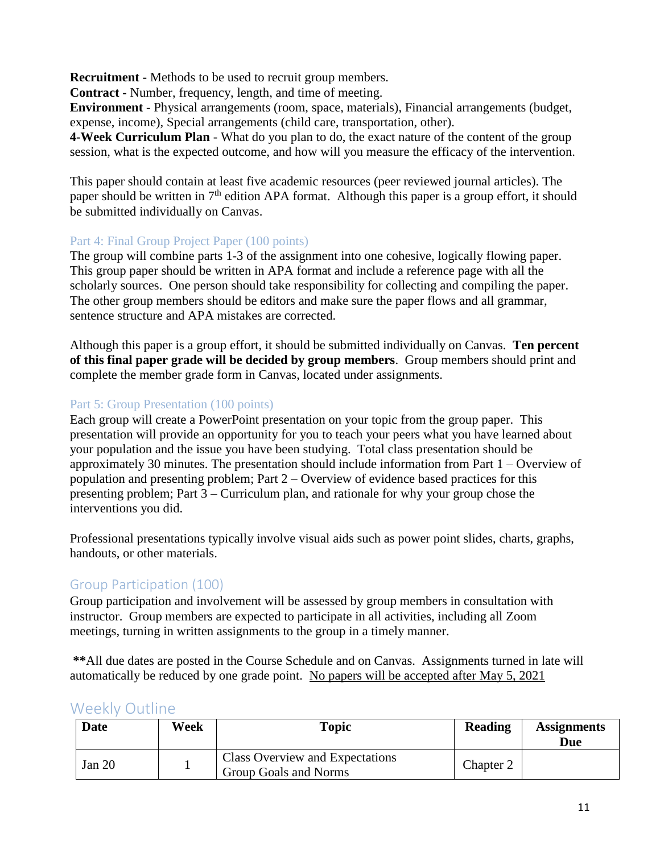**Recruitment -** Methods to be used to recruit group members.

**Contract -** Number, frequency, length, and time of meeting.

**Environment** - Physical arrangements (room, space, materials), Financial arrangements (budget, expense, income), Special arrangements (child care, transportation, other).

**4-Week Curriculum Plan** - What do you plan to do, the exact nature of the content of the group session, what is the expected outcome, and how will you measure the efficacy of the intervention.

This paper should contain at least five academic resources (peer reviewed journal articles). The paper should be written in 7<sup>th</sup> edition APA format. Although this paper is a group effort, it should be submitted individually on Canvas.

### Part 4: Final Group Project Paper (100 points)

The group will combine parts 1-3 of the assignment into one cohesive, logically flowing paper. This group paper should be written in APA format and include a reference page with all the scholarly sources. One person should take responsibility for collecting and compiling the paper. The other group members should be editors and make sure the paper flows and all grammar, sentence structure and APA mistakes are corrected.

Although this paper is a group effort, it should be submitted individually on Canvas. **Ten percent of this final paper grade will be decided by group members**. Group members should print and complete the member grade form in Canvas, located under assignments.

### Part 5: Group Presentation (100 points)

Each group will create a PowerPoint presentation on your topic from the group paper. This presentation will provide an opportunity for you to teach your peers what you have learned about your population and the issue you have been studying. Total class presentation should be approximately 30 minutes. The presentation should include information from Part 1 – Overview of population and presenting problem; Part 2 – Overview of evidence based practices for this presenting problem; Part 3 – Curriculum plan, and rationale for why your group chose the interventions you did.

Professional presentations typically involve visual aids such as power point slides, charts, graphs, handouts, or other materials.

# Group Participation (100)

Group participation and involvement will be assessed by group members in consultation with instructor. Group members are expected to participate in all activities, including all Zoom meetings, turning in written assignments to the group in a timely manner.

**\*\***All due dates are posted in the Course Schedule and on Canvas. Assignments turned in late will automatically be reduced by one grade point. No papers will be accepted after May 5, 2021

| Date     | Week | Topic                                                           | Reading   | <b>Assignments</b><br>Due |
|----------|------|-----------------------------------------------------------------|-----------|---------------------------|
| Jan $20$ |      | <b>Class Overview and Expectations</b><br>Group Goals and Norms | Chapter 2 |                           |

### Weekly Outline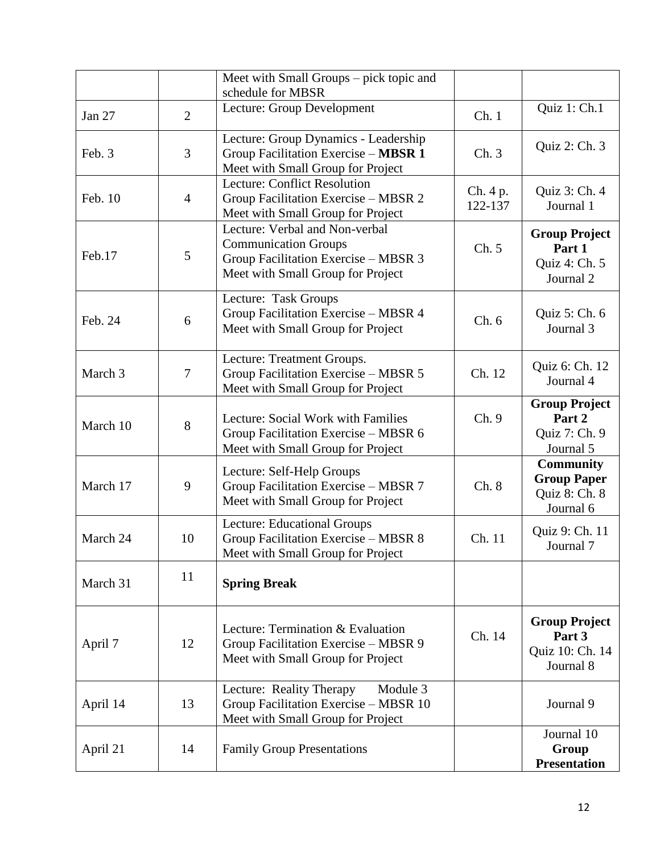|          |                | Meet with Small Groups - pick topic and<br>schedule for MBSR                                                                               |                     |                                                                      |
|----------|----------------|--------------------------------------------------------------------------------------------------------------------------------------------|---------------------|----------------------------------------------------------------------|
| Jan 27   | $\overline{2}$ | Lecture: Group Development                                                                                                                 | Ch.1                | Quiz 1: Ch.1                                                         |
| Feb. 3   | $\overline{3}$ | Lecture: Group Dynamics - Leadership<br>Group Facilitation Exercise - MBSR 1<br>Meet with Small Group for Project                          | Ch.3                | Quiz 2: Ch. 3                                                        |
| Feb. 10  | $\overline{4}$ | <b>Lecture: Conflict Resolution</b><br>Group Facilitation Exercise - MBSR 2<br>Meet with Small Group for Project                           | Ch. 4 p.<br>122-137 | Quiz 3: Ch. 4<br>Journal 1                                           |
| Feb.17   | 5              | Lecture: Verbal and Non-verbal<br><b>Communication Groups</b><br>Group Facilitation Exercise - MBSR 3<br>Meet with Small Group for Project | Ch. 5               | <b>Group Project</b><br>Part 1<br>Quiz 4: Ch. 5<br>Journal 2         |
| Feb. 24  | 6              | Lecture: Task Groups<br>Group Facilitation Exercise - MBSR 4<br>Meet with Small Group for Project                                          | Ch.6                | Quiz 5: Ch. 6<br>Journal 3                                           |
| March 3  | $\overline{7}$ | Lecture: Treatment Groups.<br>Group Facilitation Exercise - MBSR 5<br>Meet with Small Group for Project                                    | Ch. 12              | Quiz 6: Ch. 12<br>Journal 4                                          |
| March 10 | 8              | Lecture: Social Work with Families<br>Group Facilitation Exercise - MBSR 6<br>Meet with Small Group for Project                            | Ch. 9               | <b>Group Project</b><br>Part 2<br>Quiz 7: Ch. 9<br>Journal 5         |
| March 17 | 9              | Lecture: Self-Help Groups<br>Group Facilitation Exercise - MBSR 7<br>Meet with Small Group for Project                                     | Ch.8                | <b>Community</b><br><b>Group Paper</b><br>Quiz 8: Ch. 8<br>Journal 6 |
| March 24 | 10             | <b>Lecture: Educational Groups</b><br>Group Facilitation Exercise - MBSR 8<br>Meet with Small Group for Project                            | Ch. 11              | Quiz 9: Ch. 11<br>Journal 7                                          |
| March 31 | 11             | <b>Spring Break</b>                                                                                                                        |                     |                                                                      |
| April 7  | 12             | Lecture: Termination & Evaluation<br>Group Facilitation Exercise - MBSR 9<br>Meet with Small Group for Project                             | Ch. 14              | <b>Group Project</b><br>Part 3<br>Quiz 10: Ch. 14<br>Journal 8       |
| April 14 | 13             | Module 3<br>Lecture: Reality Therapy<br>Group Facilitation Exercise - MBSR 10<br>Meet with Small Group for Project                         |                     | Journal 9                                                            |
| April 21 | 14             | <b>Family Group Presentations</b>                                                                                                          |                     | Journal 10<br>Group<br><b>Presentation</b>                           |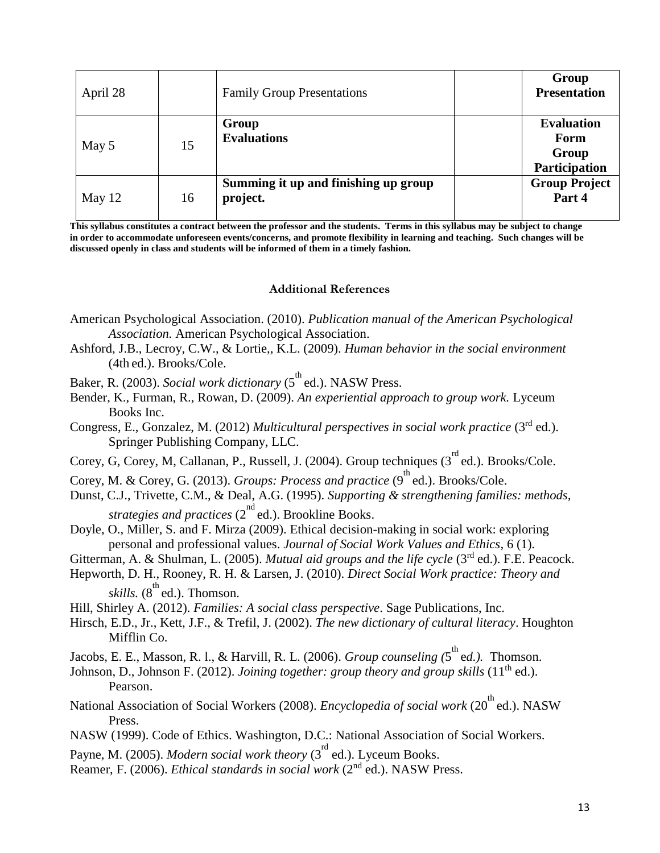| April 28 |    | <b>Family Group Presentations</b>                | Group<br><b>Presentation</b>                        |
|----------|----|--------------------------------------------------|-----------------------------------------------------|
| May 5    | 15 | Group<br><b>Evaluations</b>                      | <b>Evaluation</b><br>Form<br>Group<br>Participation |
| May $12$ | 16 | Summing it up and finishing up group<br>project. | <b>Group Project</b><br>Part 4                      |

**This syllabus constitutes a contract between the professor and the students. Terms in this syllabus may be subject to change in order to accommodate unforeseen events/concerns, and promote flexibility in learning and teaching. Such changes will be discussed openly in class and students will be informed of them in a timely fashion.**

#### **Additional References**

- American Psychological Association. (2010). *Publication manual of the American Psychological Association.* American Psychological Association.
- Ashford, J.B., Lecroy, C.W., & Lortie,, K.L. (2009). *Human behavior in the social environment*  (4th ed.). Brooks/Cole.
- Baker, R. (2003). *Social work dictionary* (5<sup>th</sup> ed.). NASW Press.
- Bender, K., Furman, R., Rowan, D. (2009). *An experiential approach to group work.* Lyceum Books Inc.
- Congress, E., Gonzalez, M. (2012) *Multicultural perspectives in social work practice* (3rd ed.). Springer Publishing Company, LLC.
- Corey, G, Corey, M, Callanan, P., Russell, J. (2004). Group techniques (3<sup>rd</sup> ed.). Brooks/Cole.
- Corey, M. & Corey, G. (2013). *Groups: Process and practice* (9<sup>th</sup> ed.). Brooks/Cole.
- Dunst, C.J., Trivette, C.M., & Deal, A.G. (1995). *Supporting & strengthening families: methods,*  strategies and practices (2<sup>nd</sup> ed.). Brookline Books.
- Doyle, O., Miller, S. and F. Mirza (2009). Ethical decision-making in social work: exploring personal and professional values. *Journal of Social Work Values and Ethics*, 6 (1).
- Gitterman, A. & Shulman, L. (2005). *Mutual aid groups and the life cycle* (3<sup>rd</sup> ed.). F.E. Peacock.
- Hepworth, D. H., Rooney, R. H. & Larsen, J. (2010). *Direct Social Work practice: Theory and*  skills. (8<sup>th</sup> ed.). Thomson.
- Hill, Shirley A. (2012). *Families: A social class perspective*. Sage Publications, Inc.
- Hirsch, E.D., Jr., Kett, J.F., & Trefil, J. (2002). *The new dictionary of cultural literacy*. Houghton Mifflin Co.

Jacobs, E. E., Masson, R. l., & Harvill, R. L. (2006). *Group counseling* (5<sup>th</sup> ed.). Thomson.

- Johnson, D., Johnson F. (2012). *Joining together: group theory and group skills* (11<sup>th</sup> ed.). Pearson.
- National Association of Social Workers (2008). *Encyclopedia of social work* (20<sup>th</sup>ed.). NASW Press.
- NASW (1999). Code of Ethics. Washington, D.C.: National Association of Social Workers.
- Payne, M. (2005). *Modern social work theory* (3<sup>rd</sup> ed.). Lyceum Books.
- Reamer, F. (2006). *Ethical standards in social work* (2nd ed.). NASW Press.